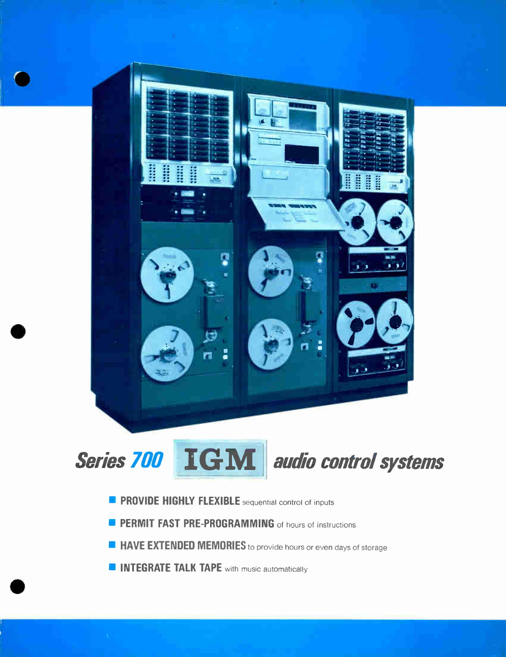



- **PROVIDE HIGHLY FLEXIBLE** sequential control of inputs
- **PERMIT FAST PRE-PROGRAMMING** of hours of instructions
- **1111 HAVE EXTENDED MEMORIES** to provide hours or even days of storage
- **INTEGRATE TALK TAPE** with music automatically

 $\bullet$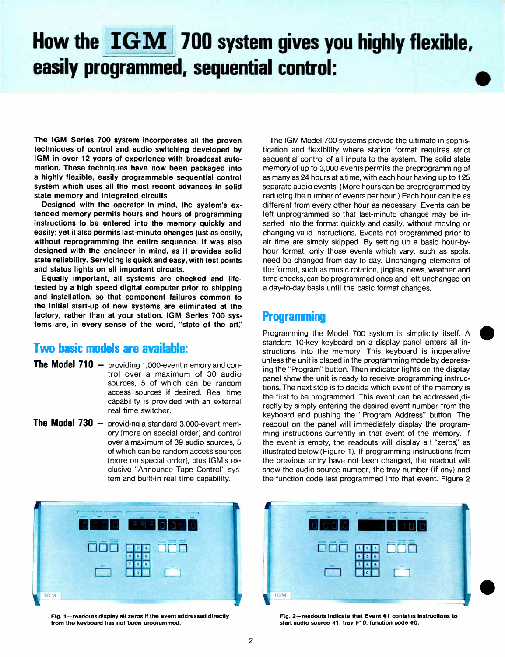## How the  $\left\| \mathbf{IGM}\right\|$  700 system gives you highly flexible, easily programmed, sequential control: •

The IGM Series 700 system incorporates all the proven techniques of control and audio switching developed by IGM in over 12 years of experience with broadcast automation. These techniques have now been packaged into a highly flexible, easily programmable sequential control system which uses all the most recent advances in solid state memory and integrated circuits.

Designed with the operator in mind, the system's extended memory permits hours and hours of programming instructions to be entered into the memory quickly and easily; yet it also permits last-minute changes just as easily, without reprogramming the entire sequence. It was also designed with the engineer in mind, as it provides solid state reliability. Servicing is quick and easy, with test points and status lights on all important circuits.

Equally important, all systems are checked and lifetested by a high speed digital computer prior to shipping and installation, so that component failures common to the initial start-up of new systems are eliminated at the factory, rather than at your station. IGM Series 700 systems are, in every sense of the word, "state of the art'

#### Two basic models are available:

- The Model 710 providing 1,000-event memory and control over a maximum of 30 audio sources, 5 of which can be random access sources if desired. Real time capability is provided with an external real time switcher.
- The Model 730 providing a standard 3,000-event memory (more on special order) and control over a maximum of 39 audio sources, 5 of which can be random access sources (more on special order), plus IGM's exclusive "Announce Tape Control" system and built-in real time capability.



Fig. 1—readouts display all zeros if the event addressed directly from the keyboard has not been programmed.

The IGM Model 700 systems provide the ultimate in sophistication and flexibility where station format requires strict sequential control of all inputs to the system. The solid state memory of up to 3,000 events permits the preprogramming of as many as 24 hours at a time, with each hour having up to 125 separate audio events. (More hours can be preprogrammed by reducing the number of events per hour.) Each hour can be as different from every other hour as necessary. Events can be left unprogrammed so that last-minute changes may be inserted into the format quickly and easily, without moving or changing valid instructions. Events not programmed prior to air time are simply skipped. By setting up a basic hour-byhour format, only those events which vary, such as spots, need be changed from day to day. Unchanging elements of the format, such as music rotation, jingles, news, weather and time checks, can be programmed once and left unchanged on a day-to-day basis until the basic format changes.

#### **Programming**

Programming the Model 700 system is simplicity itself. A standard 10-key keyboard on a display panel enters all instructions into the memory. This keyboard is inoperative unless the unit is placed in the programming mode by depressing the "Program" button. Then indicator lights on the display panel show the unit is ready to receive programming instructions. The next step is to decide which event of the memory is the first to be programmed. This event can be addressed directly by simply entering the desired event number from the keyboard and pushing the "Program Address" button. The readout on the panel will immediately display the programming instructions currently in that event of the memory. If the event is empty, the readouts will display all "zeros," as illustrated below (Figure 1). If programming instructions from the previous entry have not been changed, the readout will show the audio source number, the tray number (if any) and the function code last programmed into that event. Figure 2



Fig. 2—readouts indicate that Event 41 contains instructions to start audio source #1, tray #10, function code #0.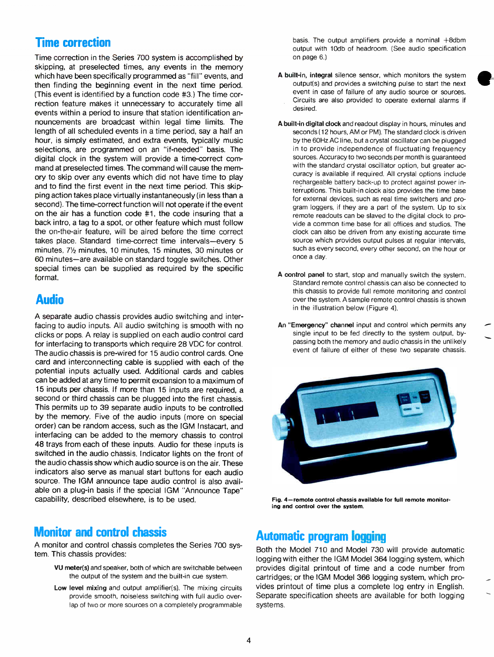#### Time correction

Time correction in the Series 700 system is accomplished by skipping, at preselected times, any events in the memory which have been specifically programmed as "fill" events, and then finding the beginning event in the next time period. (This event is identified by a function code #3.) The time correction feature makes it unnecessary to accurately time all events within a period to insure that station identification announcements are broadcast within legal time limits. The length of all scheduled events in a time period, say a half an hour, is simply estimated, and extra events, typically music selections, are programmed on an "if-needed" basis. The digital clock in the system will provide a time-correct command at preselected times. The command will cause the memory to skip over any events which did not have time to play and to find the first event in the next time period. This skipping action takes place virtually instantaneously (in less than a second). The time-correct function will not operate if the event on the air has a function code #1, the code insuring that a back intro, a tag to a spot, or other feature which must follow the on-the-air feature, will be aired before the time correct takes place. Standard time-correct time intervals—every 5 minutes,  $7\frac{1}{2}$  minutes, 10 minutes, 15 minutes, 30 minutes or 60 minutes—are available on standard toggle switches. Other special times can be supplied as required by the specific format.

#### Audio

A separate audio chassis provides audio switching and interfacing to audio inputs. All audio switching is smooth with no clicks or pops. A relay is supplied on each audio control card for interfacing to transports which require 28 VDC for control. The audio chassis is pre-wired for 15 audio control cards. One card and interconnecting cable is supplied with each of the potential inputs actually used. Additional cards and cables can be added at any time to permit expansion to a maximum of 15 inputs per chassis. If more than 15 inputs are required, a second or third chassis can be plugged into the first chassis. This permits up to 39 separate audio inputs to be controlled by the memory. Five of the audio inputs (more on special order) can be random access, such as the IGM Instacart, and interfacing can be added to the memory chassis to control 48 trays from each of these inputs. Audio for these inputs is switched in the audio chassis. Indicator lights on the front of the audio chassis show which audio source is on the air. These indicators also serve as manual start buttons for each audio source. The IGM announce tape audio control is also available on a plug-in basis if the special IGM "Announce Tape" capability, described elsewhere, is to be used.

#### Monitor and control chassis

A monitor and control chassis completes the Series 700 system. This chassis provides:

- VU meter(s) and speaker, both of which are switchable between the output of the system and the built-in cue system.
- Low level mixing and output amplifier(s). The mixing circuits provide smooth, noiseless switching with full audio overlap of two or more sources on a completely programmable

basis. The output amplifiers provide a nominal +8dbm output with 10db of headroom. (See audio specification on page 6.)

- A built-in, integral silence sensor, which monitors the system output(s) and provides a switching pulse to start the next event in case of failure of any audio source or sources. Circuits are also provided to operate external alarms if desired.
- A built-in digital clock and readout display in hours, minutes and seconds (12 hours, AM or PM). The standard clock is driven by the 60Hz AC line, but a crystal oscillator can be plugged in to provide independence of fluctuating frequency sources. Accuracy to two seconds per month is guaranteed with the standard crystal oscillator option, but greater accuracy is available if required. All crystal options include rechargeable battery back-up to protect against power interruptions. This built-in clock also provides the time base for external devices, such as real time switchers and program loggers, if they are a part of the system. Up to six remote readouts can be slaved to the digital clock to provide a common time base for all offices and studios. The clock can also be driven from any existing accurate time source which provides output pulses at regular intervals, such as every second, every other second, on the hour or once a day.
- A control panel to start, stop and manually switch the system. Standard remote control chassis can also be connected to this chassis to provide full remote monitoring and control over the system. A sample remote control chassis is shown in the illustration below (Figure 4).
- An "Emergency" channel input and control which permits any single input to be fed directly to the system output, bypassing both the memory and audio chassis in the unlikely event of failure of either of these two separate chassis.



Fig. 4—remote control chassis available for full remote monitoring and control over the system.

#### Automatic program logging

Both the Model 710 and Model 730 will provide automatic logging with either the IGM Model 364 logging system, which provides digital printout of time and a code number from cartridges; or the IGM Model 366 logging system, which provides printout of time plus a complete log entry in English. Separate specification sheets are available for both logging systems.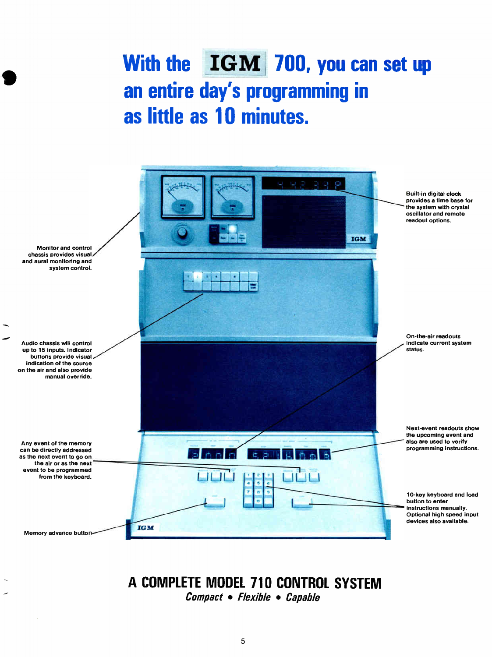## With the IGM 700, you can set up an entire day's programming in as little as 10 minutes.



## A COMPLETE MODEL 710 CONTROL SYSTEM

Compact • Flexible • Capable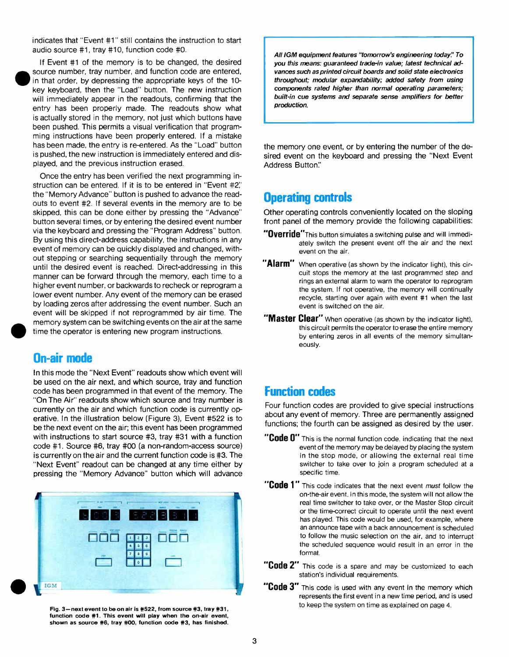indicates that "Event #1" still contains the instruction to start audio source #1, tray #10, function code #0.

If Event #1 of the memory is to be changed, the desired source number, tray number, and function code are entered, in that order, by depressing the appropriate keys of the 10 key keyboard, then the "Load" button. The new instruction will immediately appear in the readouts, confirming that the entry has been properly made. The readouts show what is actually stored in the memory, not just which buttons have been pushed. This permits a visual verification that programming instructions have been properly entered. If a mistake has been made, the entry is re-entered. As the "Load" button is pushed, the new instruction is immediately entered and displayed, and the previous instruction erased.

Once the entry has been verified the next programming instruction can be entered. If it is to be entered in "Event #2: the "Memory Advance" button is pushed to advance the readouts to event #2. If several events in the memory are to be skipped, this can be done either by pressing the "Advance" button several times, or by entering the desired event number via the keyboard and pressing the "Program Address" button. By using this direct-address capability, the instructions in any event of memory can be quickly displayed and changed, without stepping or searching sequentially through the memory until the desired event is reached. Direct-addressing in this manner can be forward through the memory, each time to a higher event number, or backwards to recheck or reprogram a lower event number. Any event of the memory can be erased by loading zeros after addressing the event number. Such an event will be skipped if not reprogrammed by air time. The memory system can be switching events on the air at the same time the operator is entering new program instructions.

#### On-air mode

In this mode the "Next Event" readouts show which event will be used on the air next, and which source, tray and function code has been programmed in that event of the memory. The "On The Air" readouts show which source and tray number is currently on the air and which function code is currently operative. In the illustration below (Figure 3), Event #522 is to be the next event on the air; this event has been programmed with instructions to start source #3, tray #31 with a function code #1. Source #6, tray #00 (a non-random-access source) is currently on the air and the current function code is #3. The "Next Event" readout can be changed at any time either by pressing the "Memory Advance" button which will advance



Fig. 3-next event to be on air is #522, from source #3, tray #31, function code #1. This event will play when the on-air event, shown as source #6, tray #00, function code #3, has finished.

All IGM equipment features "tomorrow's engineering today." To you this means: guaranteed trade-in value; latest technical advances such as printed circuit boards and solid state electronics throughout; modular expandability; added safety from using components rated higher than normal operating parameters; built-in cue systems and separate sense amplifiers for better production.

the memory one event, or by entering the number of the desired event on the keyboard and pressing the "Next Event Address Button:'

#### Operating controls

Other operating controls conveniently located on the sloping front panel of the memory provide the following capabilities:

- "Override"This button simulates a switching pulse and will immediately switch the present event off the air and the next event on the air.
- "Alarm" When operative (as shown by the indicator light), this circuit stops the memory at the last programmed step and rings an external alarm to warn the operator to reprogram the system. If not operative, the memory will continually recycle, starting over again with event #1 when the last event is switched on the air.
- "Master Clear" When operative (as shown by the indicator light), this circuit permits the operator to erase the entire memory by entering zeros in all events of the memory simultaneously.

#### Function codes

Four function codes are provided to give special instructions about any event of memory. Three are permanently assigned functions; the fourth can be assigned as desired by the user.

- **COUP U** This is the normal function code, indicating that the next event of the memory may be delayed by placing the system in the stop mode, or allowing the external real time switcher to take over to join a program scheduled at a specific time.
- **COULE I** This code indicates that the next event *must* follow the on-the-air event. In this mode, the system will not allow the real time switcher to take over, or the Master Stop circuit or the time-correct circuit to operate until the next event has played. This code would be used, for example, where an announce tape with a back announcement is scheduled to follow the music selection on the air, and to interrupt the scheduled sequence would result in an error in the format.
- "Code 2" This code is a spare and may be customized to each station's individual requirements.
- "Code 3" This code is used with any event in the memory which represents the first event in a new time period, and is used to keep the system on time as explained on page 4.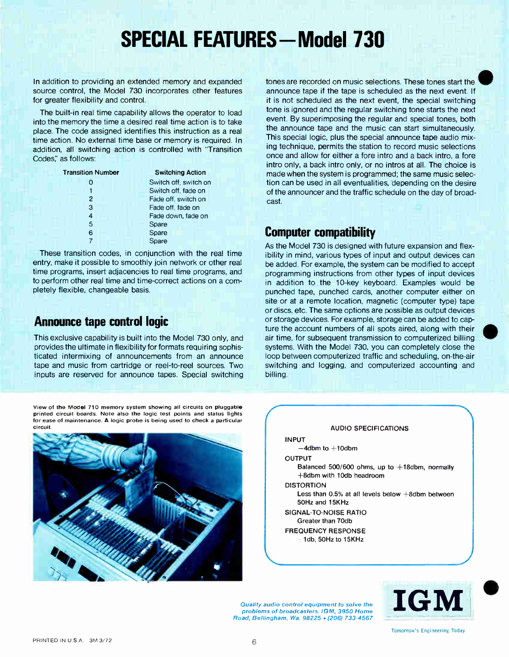## SPECIAL FEATURES - Model 730

In addition to providing an extended memory and expanded source control, the Model 730 incorporates other features for greater flexibility and control.

The built-in real time capability allows the operator to load into the memory the time a desired real time action is to take place. The code assigned identifies this instruction as a real time action. No external time base or memory is required. In addition, all switching action is controlled with 'Transition Codes," as follows:

| <b>Transition Number</b> | <b>Switching Action</b> |  |  |
|--------------------------|-------------------------|--|--|
|                          | Switch off, switch on   |  |  |
|                          | Switch off, fade on     |  |  |
| 2                        | Fade off, switch on     |  |  |
| 3                        | Fade off, fade on       |  |  |
| 4                        | Fade down, fade on      |  |  |
| 5                        | Spare                   |  |  |
| 6                        | Spare                   |  |  |
|                          | Spare                   |  |  |

These transition codes, in conjunction with the real time entry, make it possible to smoothly join network or other real time programs, insert adjacencies to real time programs, and to perform other real time and time-correct actions on a completely flexible, changeable basis.

#### Announce tape control logic

This exclusive capability is built into the Model 730 only, and provides the ultimate in flexibility for formats requiring sophisticated intermixing of announcements from an announce tape and music from cartridge or reel-to-reel sources. Two inputs are reserved for announce tapes. Special switching

announce tape if the tape is scheduled as the next event. I  $\begin{array}{c} \mathbf{e} \\ \mathbf{f} \end{array}$ it is not scheduled as the next event, the special switching tone is ignored and the regular switching tone starts the next event. By superimposing the regular and special tones, both the announce tape and the music can start simultaneously. This special logic, plus the special announce tape audio mixing technique, permits the station to record music selections once and allow for either a fore intro and a back intro, a fore intro only, a back intro only, or no intros at all. The choice is made when the system is programmed; the same music selection can be used in all eventualities, depending on the desire of the announcer and the traffic schedule on the day of broadcast.

tones are recorded on music selections. These tones start the N

#### Computer compatibility

As the Model 730 is designed with future expansion and flexibility in mind, various types of input and output devices can be added. For example, the system can be modified to accept programming instructions from other types of input devices in addition to the 10-key keyboard. Examples would be punched tape, punched cards, another computer either on site or at a remote location, magnetic (computer type) tape or discs, etc. The same options are possible as output devices or storage devices. For example, storage can be added to capture the account numbers of all spots aired, along with their air time, for subsequent transmission to computerized billing systems. With the Model 730, you can completely close the loop between computerized traffic and scheduling, on-the-air switching and logging, and computerized accounting and billing.

View of the Model 710 memory system showing all circuits on pluggable printed circuit boards. Note also the logic test points and status lights for ease of maintenance. A logic probe is being used to check a particular circuit. AUDIO SPECIFICATIONS AND ALL THE CONTROL OF THE CONTROL OF THE CONTROL OF THE CONTROL OF THE CONTROL O





Quality audio control equipment to solve the problems of broadcasters. IGM, 3950 Home



Tomorrow's Engineering Today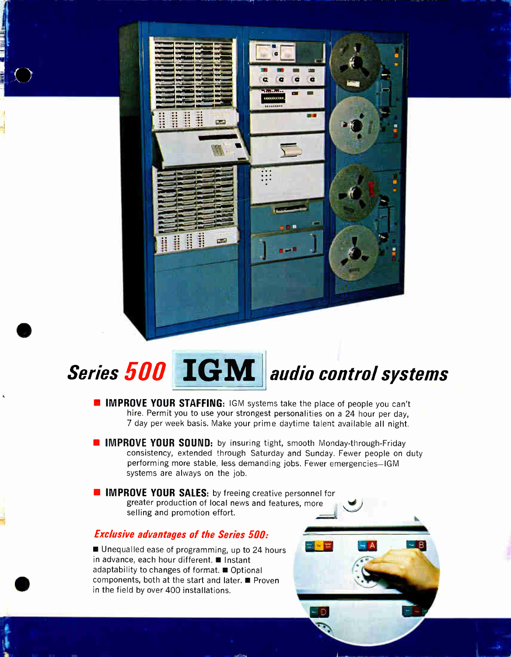# $\epsilon$  $\overline{a}$  $\ddot{\mathbf{c}}$  $\bullet$ ,,,,,,,,,, CLARK COMPANY

## Series 500 IGM audio control systems

- **IMPROVE YOUR STAFFING: IGM systems take the place of people you can't** hire. Permit you to use your strongest personalities on a 24 hour per day, 7 day per week basis. Make your prime daytime talent available all night.
- **IMPROVE YOUR SOUND:** by insuring tight, smooth Monday-through-Friday consistency, extended through Saturday and Sunday. Fewer people on duty performing more stable, less demanding jobs. Fewer emergencies—IGM systems are always on the job.
- **IMPROVE YOUR SALES:** by freeing creative personnel for greater production of local news and features, more selling and promotion effort.

#### Exclusive advantages of the Series 500:

**■ Unequalled ease of programming, up to 24 hours** in advance, each hour different.  $\blacksquare$  Instant adaptability to changes of format.  $\blacksquare$  Optional components, both at the start and later.  $\blacksquare$  Proven in the field by over 400 installations.

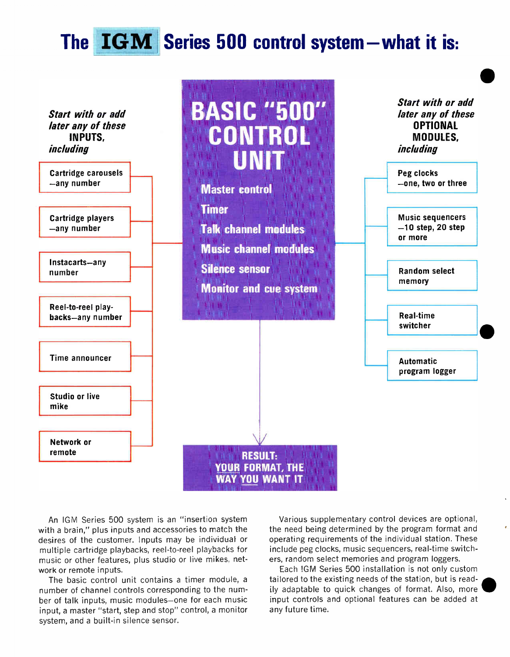## The IGM Series 500 control system what it is:



An IGM Series 500 system is an "insertion system with a brain," plus inputs and accessories to match the desires of the customer. Inputs may be individual or multiple cartridge playbacks, reel-to-reel playbacks tor music or other features, plus studio or live mikes, network or remote inputs.

The basic control unit contains a timer module, a number of channel controls corresponding to the number of talk inputs, music modules—one for each music input, a master "start, step and stop" control, a monitor system, and a built-in silence sensor.

Various supplementary control devices are optional, the need being determined by the program format and operating requirements of the individual station. These include peg clocks, music sequencers, real-time switch ers, random select memories and program loggers.

Each !GM Series 500 installation is not only custom tailored to the existing needs of the station, but is readily adaptable to quick changes of format. Also, more input controls and optional features can be added at any future time.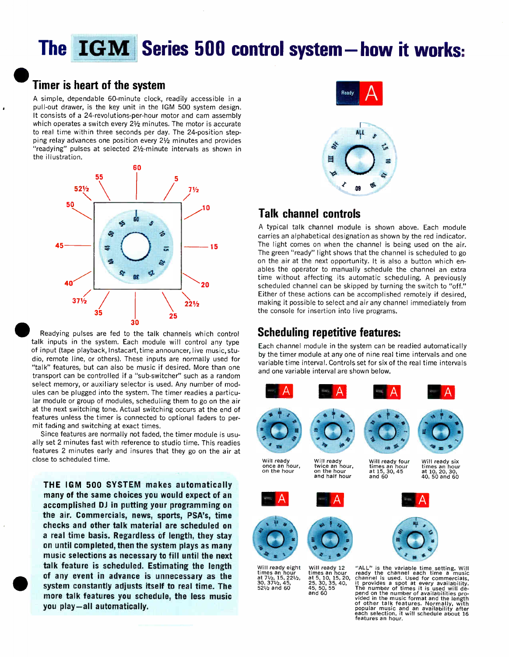## The IGM Series 500 control system - how it works:

## **• Timer is heart of the system**

A simple, dependable 60-minute clock, readily accessible in a pull-out drawer, is the key unit in the IGM 500 system design. It consists of a 24-revolutions-per-hour motor and cam assembly which operates a switch every  $2\frac{1}{2}$  minutes. The motor is accurate to real time within three seconds per day. The 24-position stepping relay advances one position every  $2\frac{1}{2}$  minutes and provides "readying" pulses at selected 21/2-minute intervals as shown in the illustration.



Readying pulses are fed to the talk channels which control talk inputs in the system. Each module will control any type of input (tape playback, Instacart, time announcer, live music, studio, remote line, or others). These inputs are normally used for "talk" features, but can also be music if desired. More than one transport can be controlled if a "sub-switcher" such as a random select memory, or auxiliary selector is used. Any number of modules can be plugged into the system. The timer readies a particular module or group of modules, scheduling them to go on the air at the next switching tone. Actual switching occurs at the end of features unless the timer is connected to optional faders to permit fading and switching at exact times.

Since features are normally not faded, the timer module is usually set 2 minutes fast with reference to studio time. This readies features 2 minutes early and insures that they go on the air at close to scheduled time.

of any event in advance is unnecessary as the<br>system constantly adjusts itself to real time. The<br>more tells features usu sebedule, the lose music THE IGM 500 SYSTEM makes automatically many of the same choices you would expect of an accomplished DJ in putting your programming on the air. Commercials, news, sports, PSA's, time checks and other talk material are scheduled on a real time basis. Regardless of length, they stay on until completed, then the system plays as many music selections as necessary to fill until the next talk feature is scheduled. Estimating the length of any event in advance is unnecessary as the more talk features you schedule, the less music you play—all automatically.





#### Talk channel controls

A typical talk channel module is shown above. Each module carries an alphabetical designation as shown by the red indicator. 15 The light comes on when the channel is being used on the air. The green "ready" light shows that the channel is scheduled to go on the air at the next opportunity. It is also a button which enables the operator to manually schedule the channel an extra time without affecting its automatic scheduling. A previously scheduled channel can be skipped by turning the switch to "off." Either of these actions can be accomplished remotely if desired, making it possible to select and air any channel immediately from the console for insertion into live programs.

#### Scheduling repetitive features:

Each channel module in the system can be readied automatically by the timer module at any one of nine real time intervals and one variable time interval. Controls set for six of the real time intervals and one variable interval are shown below.



and 60

times an nour times an nour<br>at 7½, 15, 22½, at 5, 10, 15, 20,<br>30, 37½, 45, 25, 30, 35, 40, times an hour<br>at  $7\frac{1}{2}$ , 15, 22 $\frac{1}{2}$ , 30, 37 $\frac{1}{2}$ , 45,<br>52 $\frac{1}{2}$  and 60

Will ready four times an hour at 15, 30,45 and 60



Will ready six<br>times an hour times an hour at 10, 20, 30, 40, 50 and 60



"ALL" is the variable time setting. Will<br>ready the channel each time a music ready the channel each time a music<br>channel is used. Used for commercials,<br>it provides a spot at every availability.<br>The number of times it is used will de-<br>pend on the number of availabilities pro-<br>vided in the music form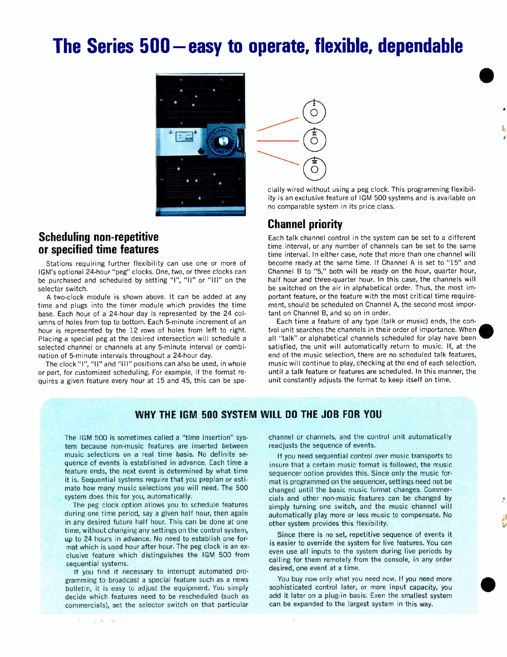## The Series 500—easy to operate, flexible, dependable



#### Scheduling non-repetitive or specified time features

Stations requiring further flexibility can use one or more of IGM's optional 24-hour "peg" clocks. One, two, or three clocks can be purchased and scheduled by setting "I", "Il" or "Ill" on the selector switch.

A two-clock module is shown above. It can be added at any time and plugs into the timer module which provides the time base. Each hour of a 24-hour day is represented by the 24 columns of holes from top to bottom. Each 5-minute increment of an hour is represented by the 12 rows of holes from left to right. Placing a special peg at the desired intersection will schedule a selected channel or channels at any 5-minute interval or combination of 5-minute intervals throughout a 24-hour day.

The clock "I", "II" and "Ill" positions can also be used, in whole or part, for customized scheduling. For example, if the format requires a given feature every hour at 15 and 45, this can be spe-



cially wired without using a peg clock. This programming flexibility is an exclusive feature of IGM 500 systems and is available on no comparable system in its price class.

 $\bullet$ 

#### Channel priority

Each talk channel control in the system can be set to a different time interval, or any number of channels can be set to the same time interval. In either case, note that more than one channel will become ready at the same time. If Channel A is set to "15" and Channel B to "5," both will be ready on the hour, quarter hour, half hour and three-quarter hour. In this case, the channels will be switched on the air in alphabetical order. Thus, the most important feature, or the feature with the most critical time requirement, should be scheduled on Channel A, the second most important on Channel B, and so on in order.

Each time a feature of any type (talk or music) ends, the control unit searches the channels in their order of importance. When all "talk" or alphabetical channels scheduled for play have been satisfied, the unit will automatically return to music. If, at the end of the music selection, there are no scheduled talk features, music will continue to play, checking at the end of each selection, until a talk feature or features are scheduled. In this manner, the unit constantly adjusts the format to keep itself on time.

#### WHY THE IGM 500 SYSTEM WILL DO THE JOB FOR YOU

The IGM 500 is sometimes called a "time insertion" system because non-music features are inserted between music selections on a real time basis. No definite sequence of events is established in advance. Each time a feature ends, the next event is determined by what time it is. Sequential systems require that you preplan or estimate how many music selections you will need. The 500 system does this for you, automatically.

The peg clock option allows you to schedule features during one time period, say a given half hour, then again in any desired future half hour. This can be done at one time, without changing any settings on the control system, up to 24 hours in advance. No need to establish one format which is used hour after hour. The peg clock is an exclusive feature which distinguishes the IGM 500 from sequential systems.

If you find it necessary to interrupt automated programming to broadcast a special feature such as a news bulletin, it is easy to adjust the equipment. You simply decide which features need to be rescheduled (such as commercials), set the selector switch on that particular

 $\sqrt{2}$  ,  $\sqrt{2}$ 

channel or channels, and the control unit automatically readjusts the sequence of events.

If you need sequential control over music transports to insure that a certain music format is followed, the music sequencer option provides this. Since only the music format is programmed on the sequencer, settings need not be changed until the basic music format changes. Commercials and other non-music features can be changed by simply turning one switch, and the music channel will automatically play more or less music to compensate. No other system provides this flexibility.

Since there is no set, repetitive sequence of events it is easier to override the system for live features. You can even use all inputs to the system during live periods by calling for them remotely from the console, in any order desired, one event at a time.

You buy now only what you need now. If you need more sophisticated control later, or more input capacity, you add it later on a plug-in basis. Even the smallest system can be expanded to the largest system in this way.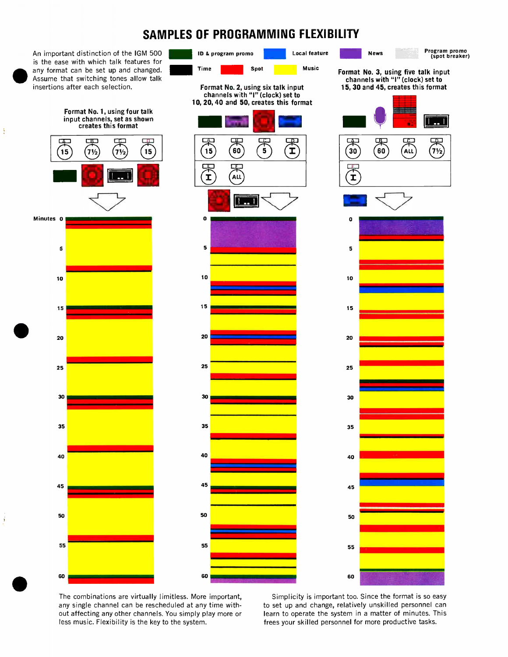#### SAMPLES OF PROGRAMMING FLEXIBILITY

An important distinction of the IGM 500 Local feature News ID & program promo Program promo (spot breaker) is the ease with which talk features for Time **Spot** Spot Music any format can be set up and changed. Format No. 3, using five talk input Assume that switching tones allow talk channels with "I" (clock) set to insertions after each selection. Format No.2, using six talk input 15, 30 and 45, creates this format channels with "I" (clock) set to 10, 20, 40 and 50, creates this format e Format No. 1, using four talk input channels, set as shown creates this format 嘎  $\overline{a}$  $\Box$  $\Box$ п  $\Box$ 实  $60$ Î  $30$  $\sim$  $(7)<sub>2</sub>$  $\overline{\mathbf{5}}$ 15  $7\frac{1}{2}$  $7\frac{1}{2}$ 15 15 ALL 宋 I ALL T.  $\sim$   $\mathbf{H}_{\text{max}}$ Minutes 0 o o s 5 s 10 10 10 15 15 15  $\begin{array}{ccc} & & \\ \bullet & & \end{array}$ 20 20 20 25 25 25 30 30 30 35 35 35 40 40 40 45 45 45 50 50 50 55 55 55  $\bullet$ <sup>60</sup> <mark>ann an Sàrtachas an Càrdair</mark> an S 60 60

The combinations are virtually limitless. More important, any single channel can be rescheduled at any time without affecting any other channels. You simply play more or less music. Flexibility is the key to the system.

÷

ś

Simplicity is important too. Since the format is so easy to set up and change, relatively unskilled personnel can learn to operate the system in a matter of minutes. This frees your skilled personnel for more productive tasks.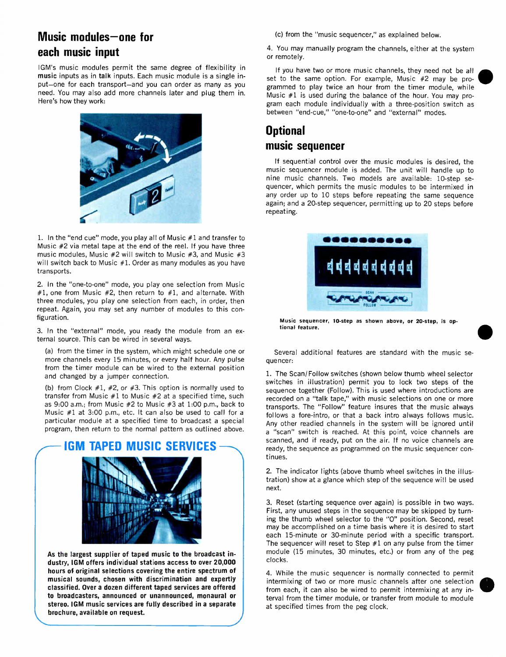#### Music modules—one for each music input

IGM's music modules permit the same degree of flexibility in music inputs as in talk inputs. Each music module is a single input—one for each transport—and you can order as many as you need. You may also add more channels later and plug them in. Here's how they work:



1. In the "end cue" mode, you play all of Music #1 and transfer to Music #2 via metal tape at the end of the reel. If you have three music modules, Music  $#2$  will switch to Music  $#3$ , and Music  $#3$ will switch back to Music #1. Order as many modules as you have transports.

2. In the "one-to-one" mode, you play one selection from Music #1, one from Music #2, then return to #1, and alternate. With three modules, you play one selection from each, in order, then repeat. Again, you may set any number of modules to this configuration.

3. In the "external" mode, you ready the module from an external source. This can be wired in several ways.

(a) from the timer in the system, which might schedule one or more channels every 15 minutes, or every half hour. Any pulse from the timer module can be wired to the external position and changed by a jumper connection.

(b) from Clock #1, #2, or #3. This option is normally used to transfer from Music #1 to Music #2 at a specified time, such as 9:00 a.m.; from Music #2 to Music #3 at 1:00 p.m., back to Music #1 at 3:00 p.m., etc. It can also be used to call for a particular module at a specified time to broadcast a special program, then return to the normal pattern as outlined above.

#### IGM TAPED MUSIC SERVICES



As the largest supplier of taped music to the broadcast industry, IGM offers individual stations access to over 20,000 hours of original selections covering the entire spectrum of musical sounds, chosen with discrimination and expertly classified. Over a dozen different taped services are offered to broadcasters, announced or unannounced, monaural or stereo. IGM music services are fully described in a separate brochure, available on request.

(c) from the "music sequencer," as explained below.

4. You may manually program the channels, either at the system or remotely.

If you have two or more music channels, they need not be all set to the same option. For example, Music #2 may be programmed to play twice an hour from the timer module, while Music #1 is used during the balance of the hour. You may program each module individually with a three-position switch as between "end-cue," "one-to-one" and "external" modes.

#### **Optional** music sequencer

If sequential control over the music modules is desired, the music sequencer module is added. The unit will handle up to nine music channels. Two models are available: 10-step sequencer, which permits the music modules to be intermixed in any order up to 10 steps before repeating the same sequence again; and a 20-step sequencer, permitting up to 20 steps before repeating.



Music sequencer, 10-step as shown above, or 20-step, is optional feature.

Several additional features are standard with the music sequencer:

1. The Scan/Follow switches (shown below thumb wheel selector switches in illustration) permit you to lock two steps of the sequence together (Follow). This is used where introductions are recorded on a "talk tape," with music selections on one or more transports. The "Follow" feature insures that the music always follows a fore-intro, or that a back intro always follows music. Any other readied channels in the system will be ignored until a "scan" switch is reached. At this point, voice channels are scanned, and if ready, put on the air. If no voice channels are ready, the sequence as programmed on the music sequencer continues.

2. The indicator lights (above thumb wheel switches in the illustration) show at a glance which step of the sequence will be used next.

3. Reset (starting sequence over again) is possible in two ways. First, any unused steps in the sequence may be skipped by turning the thumb wheel selector to the "0" position. Second, reset may be accomplished on a time basis where it is desired to start each 15-minute or 30-minute period with a specific transport. The sequencer will reset to Step  $#1$  on any pulse from the timer module (15 minutes, 30 minutes, etc.) or from any of the peg clocks.

4. While the music sequencer is normally connected to permit intermixing of two or more music channels after one selection from each, it can also be wired to permit intermixing at any interval from the timer module, or transfer from module to module at specified times from the peg clock.

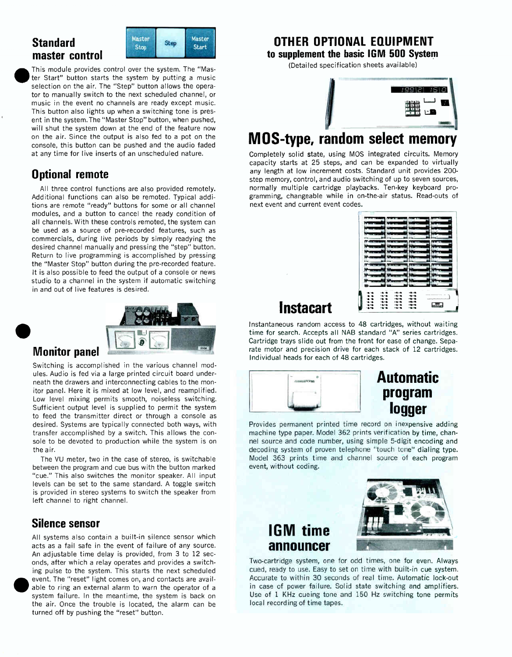#### **Standard** master control



This module provides control over the system. The "Master Start" button starts the system by putting a music selection on the air. The "Step" button allows the operator to manually switch to the next scheduled channel, or music in the event no channels are ready except music. This button also lights up when a switching tone is present in the system. The "Master Stop" button, when pushed, will shut the system down at the end of the feature now on the air. Since the output is also fed to a pot on the console, this button can be pushed and the audio faded at any time for live inserts of an unscheduled nature.

#### Optional remote

All three control functions are also provided remotely. Additional functions can also be remoted. Typical additions are remote "ready" buttons for some or all channel modules, and a button to cancel the ready condition of all channels. With these controls remoted, the system can be used as a source of pre-recorded features, such as commercials, during live periods by simply readying the desired channel manually and pressing the "step" button. Return to live programming is accomplished by pressing the "Master Stop" button during the pre-recorded feature. It is also possible to feed the output of a console or news studio to a channel in the system if automatic switching in and out of live features is desired.



#### Monitor panel

 $\bullet$ 

Switching is accomplished in the various channel modules. Audio is fed via a large printed circuit board underneath the drawers and interconnecting cables to the monitor panel. Here it is mixed at low level, and reamplified. Low level mixing permits smooth, noiseless switching. Sufficient output level is supplied to permit the system to feed the transmitter direct or through a console as desired. Systems are typically connected both ways, with transfer accomplished by a switch. This allows the console to be devoted to production while the system is on the air.

The VU meter, two in the case of stereo, is switchable between the program and cue bus with the button marked "cue." This also switches the monitor speaker. All input levels can be set to the same standard. A toggle switch is provided in stereo systems to switch the speaker from left channel to right channel.

#### Silence sensor

All systems also contain a built-in silence sensor which acts as a fail safe in the event of failure of any source. An adjustable time delay is provided, from 3 to 12 seconds, after which a relay operates and provides a switching pulse to the system. This starts the next scheduled event. The "reset" light comes on, and contacts are available to ring an external alarm to warn the operator of a system failure. In the meantime, the system is back on the air. Once the trouble is located, the alarm can be turned off by pushing the "reset" button.

#### OTHER OPTIONAL EQUIPMENT

to supplement the basic IGM 500 System

(Detailed specification sheets available)

| --<br>----<br>輪<br>Ť<br>上雪<br>┳<br>٦Ξ,          |
|-------------------------------------------------|
| The property of the property of the property of |

### MOS-type, random select memory

Completely solid state, using MOS integrated circuits. Memory capacity starts at 25 steps, and can be expanded to virtually any length at low increment costs. Standard unit provides 200 step memory, control, and audio switching of up to seven sources, normally multiple cartridge playbacks. Ten-key keyboard programming, changeable while in on-the-air status. Read-outs of next event and current event codes.

| 18.18.          | $AB \times B$<br><b>COL 100</b> | 1010                                                                                                                                                                                                                                                                                                                                                            |  |
|-----------------|---------------------------------|-----------------------------------------------------------------------------------------------------------------------------------------------------------------------------------------------------------------------------------------------------------------------------------------------------------------------------------------------------------------|--|
|                 | $m = 1$<br>10.16                | $-0.10$                                                                                                                                                                                                                                                                                                                                                         |  |
|                 | $-0.10$<br>--                   | $\mathbf{v} = \mathbf{v} \mathbf{v}$                                                                                                                                                                                                                                                                                                                            |  |
| <b>ALCOHOL:</b> | 1919.<br>1878                   | $\frac{1}{2} \sum_{i=1}^{n} \frac{1}{2} \sum_{i=1}^{n} \frac{1}{2} \sum_{i=1}^{n} \frac{1}{2} \sum_{i=1}^{n} \frac{1}{2} \sum_{i=1}^{n} \frac{1}{2} \sum_{i=1}^{n} \frac{1}{2} \sum_{i=1}^{n} \frac{1}{2} \sum_{i=1}^{n} \frac{1}{2} \sum_{i=1}^{n} \frac{1}{2} \sum_{i=1}^{n} \frac{1}{2} \sum_{i=1}^{n} \frac{1}{2} \sum_{i=1}^{n} \frac{1}{2} \sum_{i=1}^{n$ |  |

**Instacart** 

Instantaneous random access to 48 cartridges, without waiting time for search. Accepts all NAB standard "A" series cartridges. Cartridge trays slide out from the front for ease of change. Separate motor and precision drive for each stack of 12 cartridges. Individual heads for each of 48 cartridges.



#### Automatic program logger

Provides permanent printed time record on inexpensive adding machine type paper. Model 362 prints verification by time, channel source and code number, using simple 5-digit encoding and decoding system of proven telephone "touch tone" dialing type. Model 363 prints time and channel source of each program event, without coding.

### IGM time announcer



Two-cartridge system, one for odd times, one for even. Always cued, ready to use. Easy to set on time with built-in cue system. Accurate to within 30 seconds of real time. Automatic lock-out in case of power failure. Solid state switching and amplifiers. Use of 1 KHz cueing tone and 150 Hz switching tone permits local recording of time tapes.